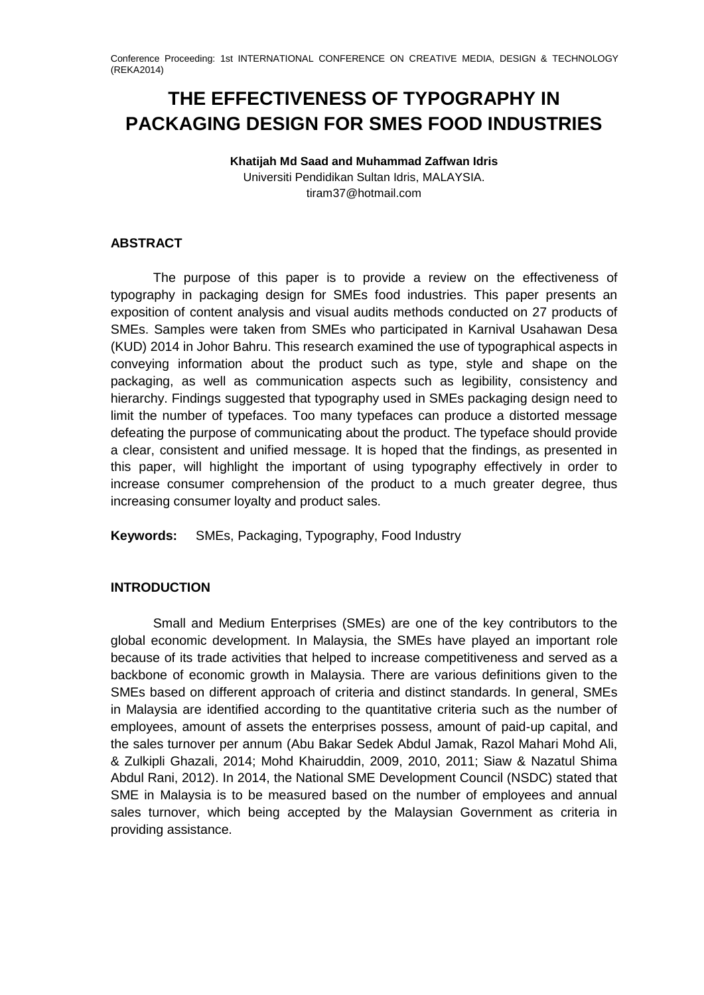# **THE EFFECTIVENESS OF TYPOGRAPHY IN PACKAGING DESIGN FOR SMES FOOD INDUSTRIES**

# **Khatijah Md Saad and Muhammad Zaffwan Idris**

Universiti Pendidikan Sultan Idris, MALAYSIA. tiram37@hotmail.com

## **ABSTRACT**

The purpose of this paper is to provide a review on the effectiveness of typography in packaging design for SMEs food industries. This paper presents an exposition of content analysis and visual audits methods conducted on 27 products of SMEs. Samples were taken from SMEs who participated in Karnival Usahawan Desa (KUD) 2014 in Johor Bahru. This research examined the use of typographical aspects in conveying information about the product such as type, style and shape on the packaging, as well as communication aspects such as legibility, consistency and hierarchy. Findings suggested that typography used in SMEs packaging design need to limit the number of typefaces. Too many typefaces can produce a distorted message defeating the purpose of communicating about the product. The typeface should provide a clear, consistent and unified message. It is hoped that the findings, as presented in this paper, will highlight the important of using typography effectively in order to increase consumer comprehension of the product to a much greater degree, thus increasing consumer loyalty and product sales.

**Keywords:** SMEs, Packaging, Typography, Food Industry

### **INTRODUCTION**

Small and Medium Enterprises (SMEs) are one of the key contributors to the global economic development. In Malaysia, the SMEs have played an important role because of its trade activities that helped to increase competitiveness and served as a backbone of economic growth in Malaysia. There are various definitions given to the SMEs based on different approach of criteria and distinct standards. In general, SMEs in Malaysia are identified according to the quantitative criteria such as the number of employees, amount of assets the enterprises possess, amount of paid-up capital, and the sales turnover per annum (Abu Bakar Sedek Abdul Jamak, Razol Mahari Mohd Ali, & Zulkipli Ghazali, 2014; Mohd Khairuddin, 2009, 2010, 2011; Siaw & Nazatul Shima Abdul Rani, 2012). In 2014, the National SME Development Council (NSDC) stated that SME in Malaysia is to be measured based on the number of employees and annual sales turnover, which being accepted by the Malaysian Government as criteria in providing assistance.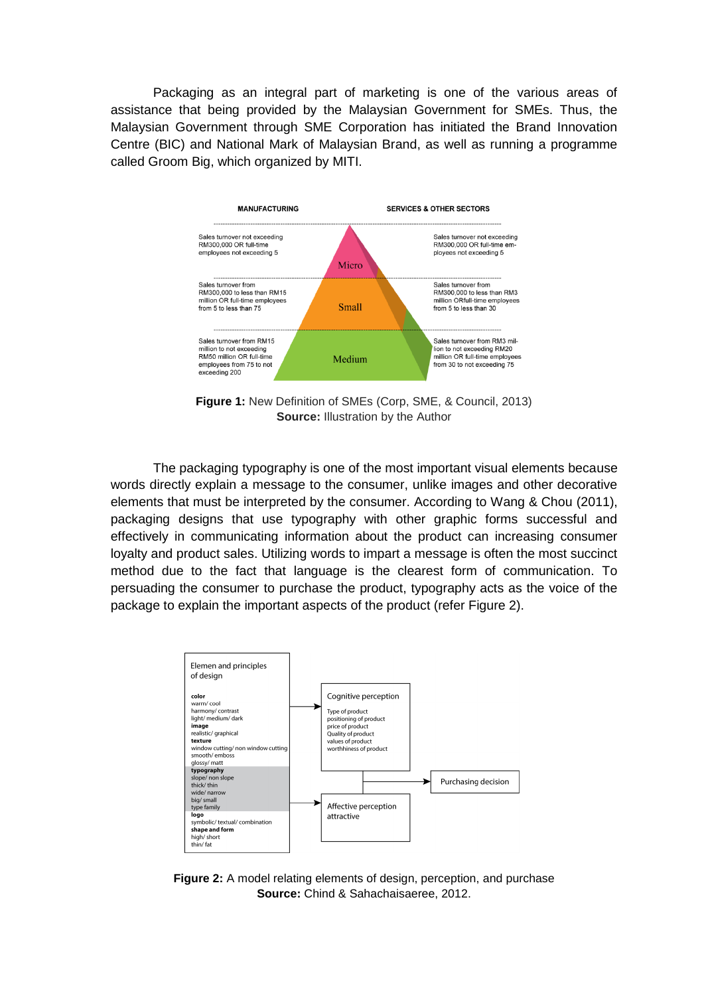Packaging as an integral part of marketing is one of the various areas of assistance that being provided by the Malaysian Government for SMEs. Thus, the Malaysian Government through SME Corporation has initiated the Brand Innovation Centre (BIC) and National Mark of Malaysian Brand, as well as running a programme called Groom Big, which organized by MITI.



**Figure 1:** New Definition of SMEs (Corp, SME, & Council, 2013) **Source:** Illustration by the Author

The packaging typography is one of the most important visual elements because words directly explain a message to the consumer, unlike images and other decorative elements that must be interpreted by the consumer. According to Wang & Chou (2011), packaging designs that use typography with other graphic forms successful and effectively in communicating information about the product can increasing consumer loyalty and product sales. Utilizing words to impart a message is often the most succinct method due to the fact that language is the clearest form of communication. To persuading the consumer to purchase the product, typography acts as the voice of the package to explain the important aspects of the product (refer Figure 2).



**Figure 2:** A model relating elements of design, perception, and purchase **Source:** Chind & Sahachaisaeree, 2012.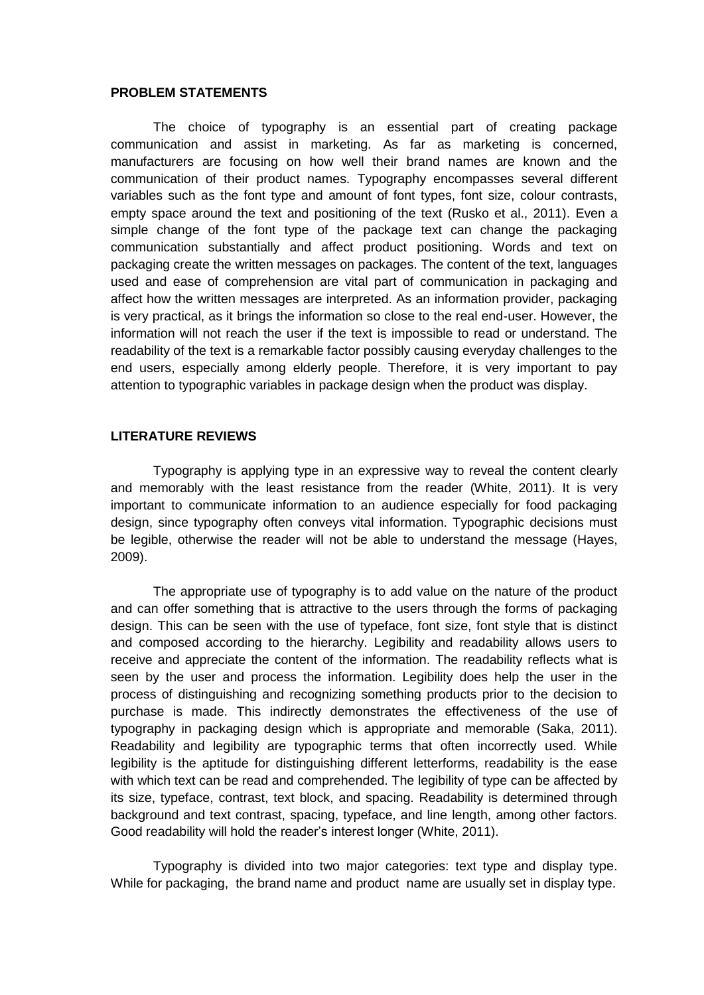#### **PROBLEM STATEMENTS**

The choice of typography is an essential part of creating package communication and assist in marketing. As far as marketing is concerned, manufacturers are focusing on how well their brand names are known and the communication of their product names. Typography encompasses several different variables such as the font type and amount of font types, font size, colour contrasts, empty space around the text and positioning of the text (Rusko et al., 2011). Even a simple change of the font type of the package text can change the packaging communication substantially and affect product positioning. Words and text on packaging create the written messages on packages. The content of the text, languages used and ease of comprehension are vital part of communication in packaging and affect how the written messages are interpreted. As an information provider, packaging is very practical, as it brings the information so close to the real end-user. However, the information will not reach the user if the text is impossible to read or understand. The readability of the text is a remarkable factor possibly causing everyday challenges to the end users, especially among elderly people. Therefore, it is very important to pay attention to typographic variables in package design when the product was display.

#### **LITERATURE REVIEWS**

Typography is applying type in an expressive way to reveal the content clearly and memorably with the least resistance from the reader (White, 2011). It is very important to communicate information to an audience especially for food packaging design, since typography often conveys vital information. Typographic decisions must be legible, otherwise the reader will not be able to understand the message (Hayes, 2009).

The appropriate use of typography is to add value on the nature of the product and can offer something that is attractive to the users through the forms of packaging design. This can be seen with the use of typeface, font size, font style that is distinct and composed according to the hierarchy. Legibility and readability allows users to receive and appreciate the content of the information. The readability reflects what is seen by the user and process the information. Legibility does help the user in the process of distinguishing and recognizing something products prior to the decision to purchase is made. This indirectly demonstrates the effectiveness of the use of typography in packaging design which is appropriate and memorable (Saka, 2011). Readability and legibility are typographic terms that often incorrectly used. While legibility is the aptitude for distinguishing different letterforms, readability is the ease with which text can be read and comprehended. The legibility of type can be affected by its size, typeface, contrast, text block, and spacing. Readability is determined through background and text contrast, spacing, typeface, and line length, among other factors. Good readability will hold the reader's interest longer (White, 2011).

Typography is divided into two major categories: text type and display type. While for packaging, the brand name and product name are usually set in display type.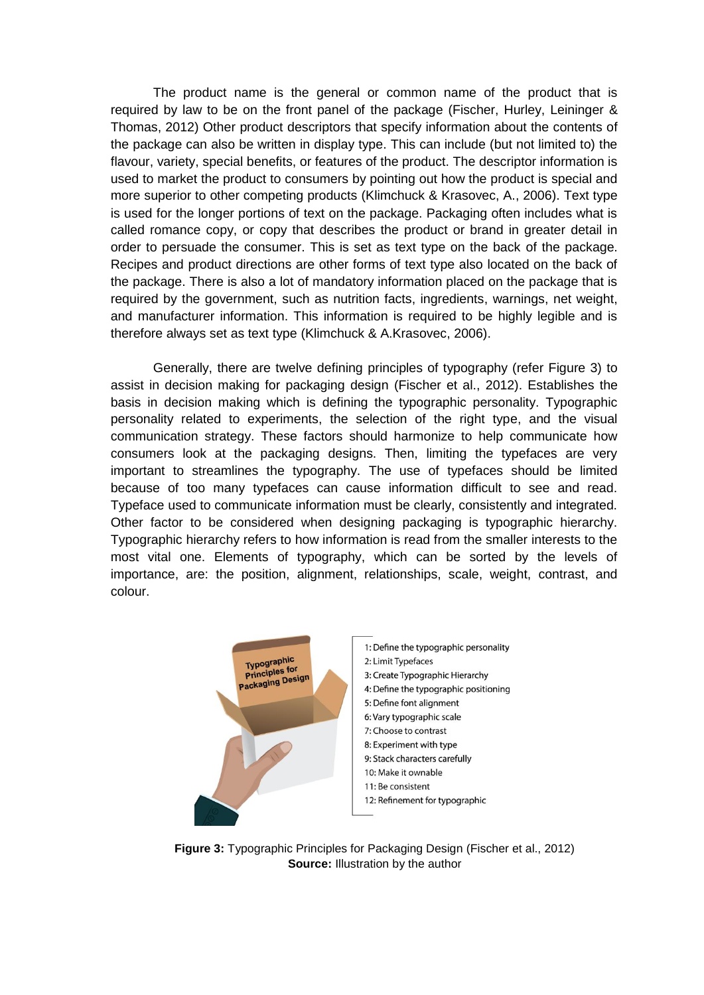The product name is the general or common name of the product that is required by law to be on the front panel of the package (Fischer, Hurley, Leininger & Thomas, 2012) Other product descriptors that specify information about the contents of the package can also be written in display type. This can include (but not limited to) the flavour, variety, special benefits, or features of the product. The descriptor information is used to market the product to consumers by pointing out how the product is special and more superior to other competing products (Klimchuck & Krasovec, A., 2006). Text type is used for the longer portions of text on the package. Packaging often includes what is called romance copy, or copy that describes the product or brand in greater detail in order to persuade the consumer. This is set as text type on the back of the package. Recipes and product directions are other forms of text type also located on the back of the package. There is also a lot of mandatory information placed on the package that is required by the government, such as nutrition facts, ingredients, warnings, net weight, and manufacturer information. This information is required to be highly legible and is therefore always set as text type (Klimchuck & A.Krasovec, 2006).

Generally, there are twelve defining principles of typography (refer Figure 3) to assist in decision making for packaging design (Fischer et al., 2012). Establishes the basis in decision making which is defining the typographic personality. Typographic personality related to experiments, the selection of the right type, and the visual communication strategy. These factors should harmonize to help communicate how consumers look at the packaging designs. Then, limiting the typefaces are very important to streamlines the typography. The use of typefaces should be limited because of too many typefaces can cause information difficult to see and read. Typeface used to communicate information must be clearly, consistently and integrated. Other factor to be considered when designing packaging is typographic hierarchy. Typographic hierarchy refers to how information is read from the smaller interests to the most vital one. Elements of typography, which can be sorted by the levels of importance, are: the position, alignment, relationships, scale, weight, contrast, and colour.



**Figure 3:** Typographic Principles for Packaging Design (Fischer et al., 2012) **Source:** Illustration by the author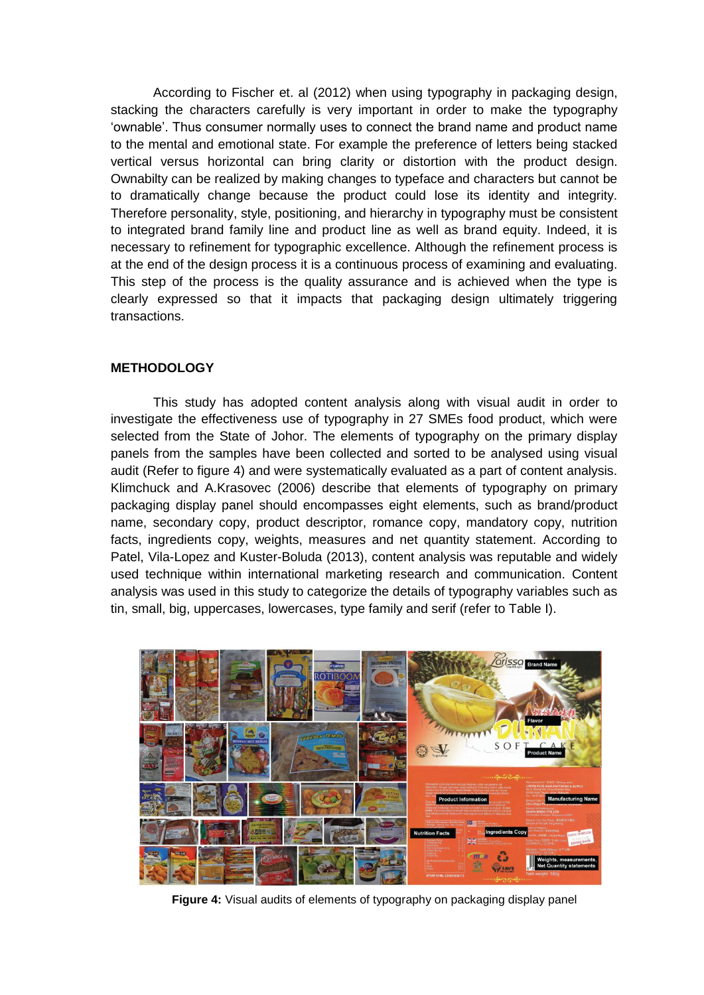According to Fischer et. al (2012) when using typography in packaging design, stacking the characters carefully is very important in order to make the typography 'ownable'. Thus consumer normally uses to connect the brand name and product name to the mental and emotional state. For example the preference of letters being stacked vertical versus horizontal can bring clarity or distortion with the product design. Ownabilty can be realized by making changes to typeface and characters but cannot be to dramatically change because the product could lose its identity and integrity. Therefore personality, style, positioning, and hierarchy in typography must be consistent to integrated brand family line and product line as well as brand equity. Indeed, it is necessary to refinement for typographic excellence. Although the refinement process is at the end of the design process it is a continuous process of examining and evaluating. This step of the process is the quality assurance and is achieved when the type is clearly expressed so that it impacts that packaging design ultimately triggering transactions.

#### **METHODOLOGY**

This study has adopted content analysis along with visual audit in order to investigate the effectiveness use of typography in 27 SMEs food product, which were selected from the State of Johor. The elements of typography on the primary display panels from the samples have been collected and sorted to be analysed using visual audit (Refer to figure 4) and were systematically evaluated as a part of content analysis. Klimchuck and A.Krasovec (2006) describe that elements of typography on primary packaging display panel should encompasses eight elements, such as brand/product name, secondary copy, product descriptor, romance copy, mandatory copy, nutrition facts, ingredients copy, weights, measures and net quantity statement. According to Patel, Vila-Lopez and Kuster-Boluda (2013), content analysis was reputable and widely used technique within international marketing research and communication. Content analysis was used in this study to categorize the details of typography variables such as tin, small, big, uppercases, lowercases, type family and serif (refer to Table I).



**Figure 4:** Visual audits of elements of typography on packaging display panel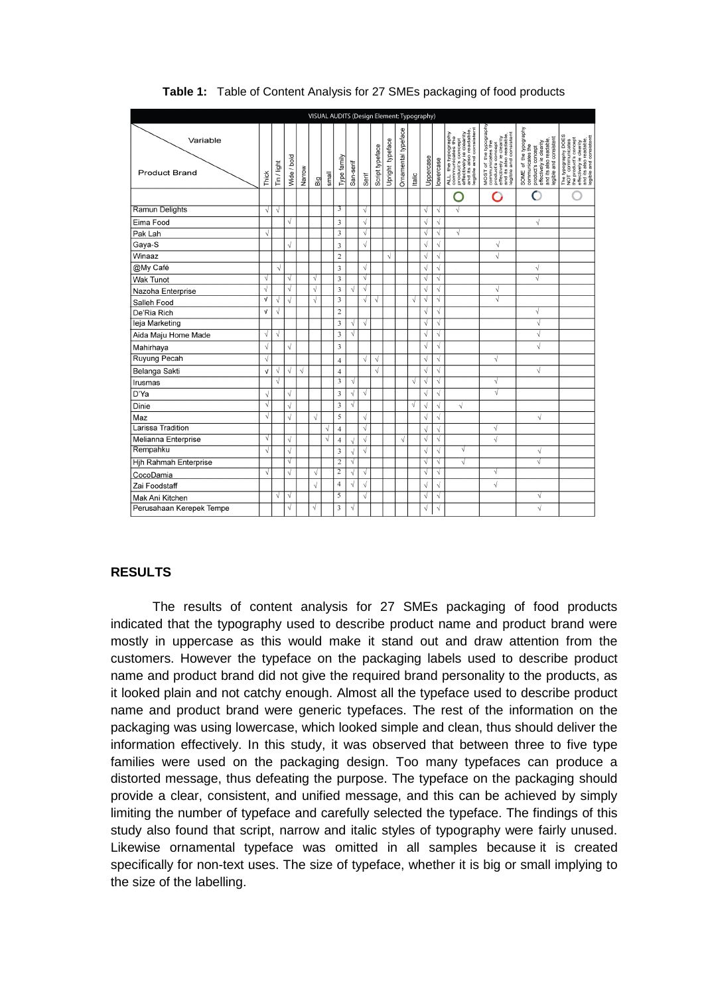|                                  |                          |             |             |           |           |            |                |            |            |                 |                  |                     |       | VISUAL AUDITS (Design Element: Typography) |            |                                                                                                                             |                                                                                                                                                                |                                                                                                                                                |                                                                                                                                                 |
|----------------------------------|--------------------------|-------------|-------------|-----------|-----------|------------|----------------|------------|------------|-----------------|------------------|---------------------|-------|--------------------------------------------|------------|-----------------------------------------------------------------------------------------------------------------------------|----------------------------------------------------------------------------------------------------------------------------------------------------------------|------------------------------------------------------------------------------------------------------------------------------------------------|-------------------------------------------------------------------------------------------------------------------------------------------------|
| Variable<br><b>Product Brand</b> | Thick                    | Tin / light | Wide / bold | Narrow    | 읢         | small      | Type family    | San-serif  | Serif      | Script typeface | Upright typeface | Ornamental typeface | talic | Uppercase                                  | lowercase  | ALL the typography<br>communicates the<br>product's concept<br>product's concept<br>and ts also readable,<br>and consistent | MOST of the typography<br>communicates the<br>product's concept<br>producty is clearing<br>affectively is clearing<br>and consistent<br>legible and consistent | SOME of the typography<br>and its also readable,<br>legible and consistent<br>product's concept<br>effectively ie clearity<br>communicates the | The typography DOES<br>NOT communicates<br>the products concept<br>and its also readable,<br>and its and consistentt<br>equible and consistentt |
|                                  |                          |             |             |           |           |            |                |            |            |                 |                  |                     |       |                                            |            | n                                                                                                                           | ⊂                                                                                                                                                              | $\overline{O}$                                                                                                                                 |                                                                                                                                                 |
| <b>Ramun Delights</b>            | $\lambda$                | V           |             |           |           |            | 3              |            | V          |                 |                  |                     |       | N                                          | V          | √                                                                                                                           |                                                                                                                                                                |                                                                                                                                                |                                                                                                                                                 |
| Eima Food                        |                          |             | V           |           |           |            | 3              |            | $\sqrt{ }$ |                 |                  |                     |       | √                                          | $\sqrt{ }$ |                                                                                                                             |                                                                                                                                                                | $\sqrt{}$                                                                                                                                      |                                                                                                                                                 |
| Pak Lah                          | $\sqrt{}$                |             |             |           |           |            | 3              |            | $\sqrt{}$  |                 |                  |                     |       | √                                          | $\sqrt{}$  | $\sqrt{ }$                                                                                                                  |                                                                                                                                                                |                                                                                                                                                |                                                                                                                                                 |
| Gaya-S                           |                          |             |             |           |           |            | 3              |            | $\sqrt{}$  |                 |                  |                     |       | $\sqrt{}$                                  | $\sqrt{}$  |                                                                                                                             | $\sqrt{}$                                                                                                                                                      |                                                                                                                                                |                                                                                                                                                 |
| Winaaz                           |                          |             |             |           |           |            | $\overline{c}$ |            |            |                 | V                |                     |       | N                                          | V          |                                                                                                                             | $\sqrt{}$                                                                                                                                                      |                                                                                                                                                |                                                                                                                                                 |
| @My Café                         |                          | $\sqrt{2}$  |             |           |           |            | 3              |            | $\sqrt{}$  |                 |                  |                     |       | $\sqrt{}$                                  | $\sqrt{}$  |                                                                                                                             |                                                                                                                                                                | $\sqrt{}$                                                                                                                                      |                                                                                                                                                 |
| <b>Wak Tunot</b>                 | ν                        |             | V           |           | √         |            | 3              |            | V          |                 |                  |                     |       | N                                          | V          |                                                                                                                             |                                                                                                                                                                | $\sqrt{}$                                                                                                                                      |                                                                                                                                                 |
| Nazoha Enterprise                | $\sqrt{}$                |             | N           |           | V         |            | 3              | ν          | V          |                 |                  |                     |       | N                                          | V          |                                                                                                                             | V                                                                                                                                                              |                                                                                                                                                |                                                                                                                                                 |
| Salleh Food                      | $\sqrt{ }$               | V           |             |           | $\sqrt{}$ |            | 3              |            | $\sqrt{}$  | V               |                  |                     | √     | $\sqrt{ }$                                 | $\sqrt{ }$ |                                                                                                                             | √                                                                                                                                                              |                                                                                                                                                |                                                                                                                                                 |
| De'Ria Rich                      | $\sqrt{ }$               | V           |             |           |           |            | $\overline{c}$ |            |            |                 |                  |                     |       | V                                          | V          |                                                                                                                             |                                                                                                                                                                | $\sqrt{}$                                                                                                                                      |                                                                                                                                                 |
| leja Marketing                   |                          |             |             |           |           |            | 3              | $\sqrt{ }$ | V          |                 |                  |                     |       | V                                          | V          |                                                                                                                             |                                                                                                                                                                | $\sqrt{ }$                                                                                                                                     |                                                                                                                                                 |
| Aida Maju Home Made              | Ń                        | V           |             |           |           |            | 3              | V          |            |                 |                  |                     |       | N                                          | V          |                                                                                                                             |                                                                                                                                                                | √                                                                                                                                              |                                                                                                                                                 |
| Mahirhaya                        | $\overline{\mathcal{L}}$ |             | $\sqrt{}$   |           |           |            | 3              |            |            |                 |                  |                     |       | N                                          | N          |                                                                                                                             |                                                                                                                                                                | $\sqrt{ }$                                                                                                                                     |                                                                                                                                                 |
| <b>Ruyung Pecah</b>              | $\overline{ }$           |             |             |           |           |            | $\overline{4}$ |            | $\sqrt{ }$ | $\sqrt{}$       |                  |                     |       | V                                          | $\sqrt{ }$ |                                                                                                                             | $\sqrt{}$                                                                                                                                                      |                                                                                                                                                |                                                                                                                                                 |
| Belanga Sakti                    | $\sqrt{ }$               | √           | $\sqrt{}$   | $\sqrt{}$ |           |            | $\overline{4}$ |            |            | $\sqrt{}$       |                  |                     |       | √                                          | N          |                                                                                                                             |                                                                                                                                                                | $\sqrt{}$                                                                                                                                      |                                                                                                                                                 |
| Irusmas                          |                          | √           |             |           |           |            | 3              | √          |            |                 |                  |                     | N     | N                                          | $\sqrt{ }$ |                                                                                                                             | √                                                                                                                                                              |                                                                                                                                                |                                                                                                                                                 |
| D'Ya                             | $\lambda$                |             | ν           |           |           |            | 3              | √          | V          |                 |                  |                     |       | N                                          | V          |                                                                                                                             | √                                                                                                                                                              |                                                                                                                                                |                                                                                                                                                 |
| Dinie                            | V                        |             |             |           |           |            | 3              | V          |            |                 |                  |                     | V     | N                                          | $\sqrt{}$  | $\sqrt{ }$                                                                                                                  |                                                                                                                                                                |                                                                                                                                                |                                                                                                                                                 |
| Maz                              | N                        |             |             |           | $\sqrt{}$ |            | 5              |            | $\sqrt{ }$ |                 |                  |                     |       | V                                          | V          |                                                                                                                             |                                                                                                                                                                | V                                                                                                                                              |                                                                                                                                                 |
| Larissa Tradition                |                          |             |             |           |           | $\sqrt{}$  | $\overline{4}$ |            | $\sqrt{}$  |                 |                  |                     |       | $\sqrt{}$                                  | $\sqrt{ }$ |                                                                                                                             | $\sqrt{}$                                                                                                                                                      |                                                                                                                                                |                                                                                                                                                 |
| Melianna Enterprise              | V                        |             |             |           |           | $\sqrt{2}$ | $\overline{4}$ | $\sqrt{2}$ | V          |                 |                  | Ñ                   |       | N                                          | $\sqrt{}$  |                                                                                                                             | $\sqrt{}$                                                                                                                                                      |                                                                                                                                                |                                                                                                                                                 |
| Rempahku                         | V                        |             |             |           |           |            | 3              | $\sqrt{ }$ | $\sqrt{ }$ |                 |                  |                     |       | N                                          | $\sqrt{}$  | √                                                                                                                           |                                                                                                                                                                | $\sqrt{}$                                                                                                                                      |                                                                                                                                                 |
| <b>Hih Rahmah Enterprise</b>     |                          |             | V           |           |           |            | $\overline{c}$ | V          |            |                 |                  |                     |       | N                                          | $\sqrt{}$  | $\sqrt{}$                                                                                                                   |                                                                                                                                                                | $\sqrt{ }$                                                                                                                                     |                                                                                                                                                 |
| CocoDamia                        | N                        |             | $\sqrt{ }$  |           | V         |            | $\overline{2}$ | √          | V          |                 |                  |                     |       | N                                          | V          |                                                                                                                             | $\sqrt{}$                                                                                                                                                      |                                                                                                                                                |                                                                                                                                                 |
| Zai Foodstaff                    |                          |             |             |           | $\sqrt{}$ |            | $\overline{4}$ | $\sqrt{ }$ | $\sqrt{ }$ |                 |                  |                     |       | $\sqrt{}$                                  | $\sqrt{ }$ |                                                                                                                             | $\sqrt{}$                                                                                                                                                      |                                                                                                                                                |                                                                                                                                                 |
| Mak Ani Kitchen                  |                          | V           | V           |           |           |            | $\overline{5}$ |            | $\sqrt{}$  |                 |                  |                     |       | N                                          | N          |                                                                                                                             |                                                                                                                                                                | ν                                                                                                                                              |                                                                                                                                                 |
| Perusahaan Kerepek Tempe         |                          |             |             |           | √         |            | 3              | V          |            |                 |                  |                     |       | N                                          | V          |                                                                                                                             |                                                                                                                                                                | $\sqrt{}$                                                                                                                                      |                                                                                                                                                 |

**Table 1:** Table of Content Analysis for 27 SMEs packaging of food products

### **RESULTS**

The results of content analysis for 27 SMEs packaging of food products indicated that the typography used to describe product name and product brand were mostly in uppercase as this would make it stand out and draw attention from the customers. However the typeface on the packaging labels used to describe product name and product brand did not give the required brand personality to the products, as it looked plain and not catchy enough. Almost all the typeface used to describe product name and product brand were generic typefaces. The rest of the information on the packaging was using lowercase, which looked simple and clean, thus should deliver the information effectively. In this study, it was observed that between three to five type families were used on the packaging design. Too many typefaces can produce a distorted message, thus defeating the purpose. The typeface on the packaging should provide a clear, consistent, and unified message, and this can be achieved by simply limiting the number of typeface and carefully selected the typeface. The findings of this study also found that script, narrow and italic styles of typography were fairly unused. Likewise ornamental typeface was omitted in all samples because it is created specifically for non-text uses. The size of typeface, whether it is big or small implying to the size of the labelling.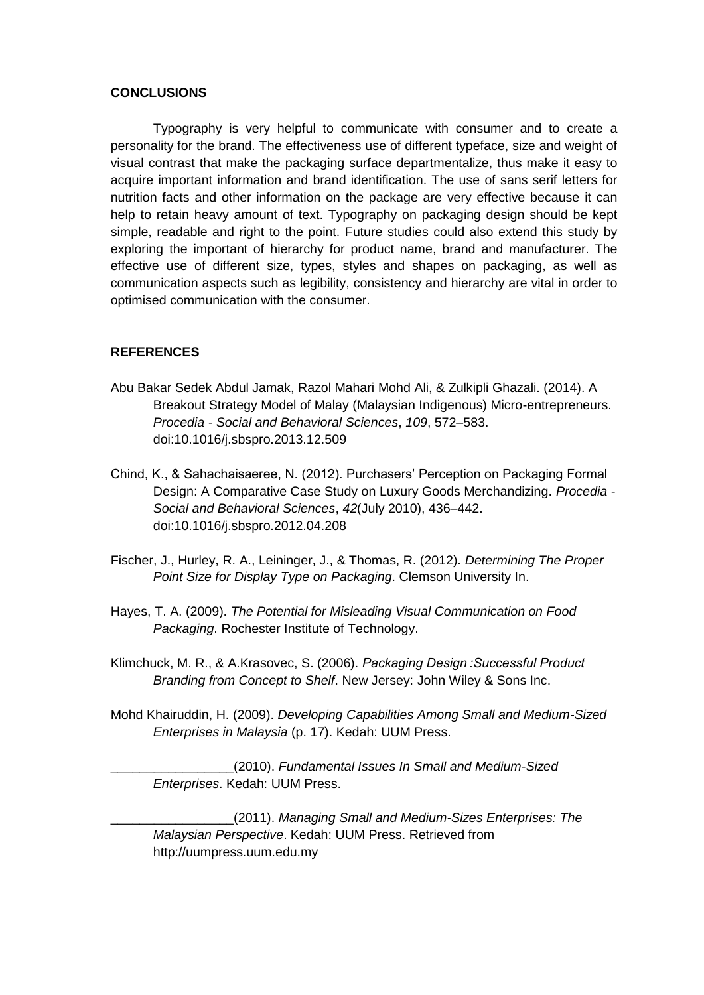#### **CONCLUSIONS**

Typography is very helpful to communicate with consumer and to create a personality for the brand. The effectiveness use of different typeface, size and weight of visual contrast that make the packaging surface departmentalize, thus make it easy to acquire important information and brand identification. The use of sans serif letters for nutrition facts and other information on the package are very effective because it can help to retain heavy amount of text. Typography on packaging design should be kept simple, readable and right to the point. Future studies could also extend this study by exploring the important of hierarchy for product name, brand and manufacturer. The effective use of different size, types, styles and shapes on packaging, as well as communication aspects such as legibility, consistency and hierarchy are vital in order to optimised communication with the consumer.

#### **REFERENCES**

- Abu Bakar Sedek Abdul Jamak, Razol Mahari Mohd Ali, & Zulkipli Ghazali. (2014). A Breakout Strategy Model of Malay (Malaysian Indigenous) Micro-entrepreneurs. *Procedia - Social and Behavioral Sciences*, *109*, 572–583. doi:10.1016/j.sbspro.2013.12.509
- Chind, K., & Sahachaisaeree, N. (2012). Purchasers' Perception on Packaging Formal Design: A Comparative Case Study on Luxury Goods Merchandizing. *Procedia - Social and Behavioral Sciences*, *42*(July 2010), 436–442. doi:10.1016/j.sbspro.2012.04.208
- Fischer, J., Hurley, R. A., Leininger, J., & Thomas, R. (2012). *Determining The Proper Point Size for Display Type on Packaging*. Clemson University In.
- Hayes, T. A. (2009). *The Potential for Misleading Visual Communication on Food Packaging*. Rochester Institute of Technology.
- Klimchuck, M. R., & A.Krasovec, S. (2006). *Packaging Design :Successful Product Branding from Concept to Shelf*. New Jersey: John Wiley & Sons Inc.
- Mohd Khairuddin, H. (2009). *Developing Capabilities Among Small and Medium-Sized Enterprises in Malaysia* (p. 17). Kedah: UUM Press.

\_\_\_\_\_\_\_\_\_\_\_\_\_\_\_\_\_(2010). *Fundamental Issues In Small and Medium-Sized Enterprises*. Kedah: UUM Press.

\_\_\_\_\_\_\_\_\_\_\_\_\_\_\_\_\_(2011). *Managing Small and Medium-Sizes Enterprises: The Malaysian Perspective*. Kedah: UUM Press. Retrieved from http://uumpress.uum.edu.my